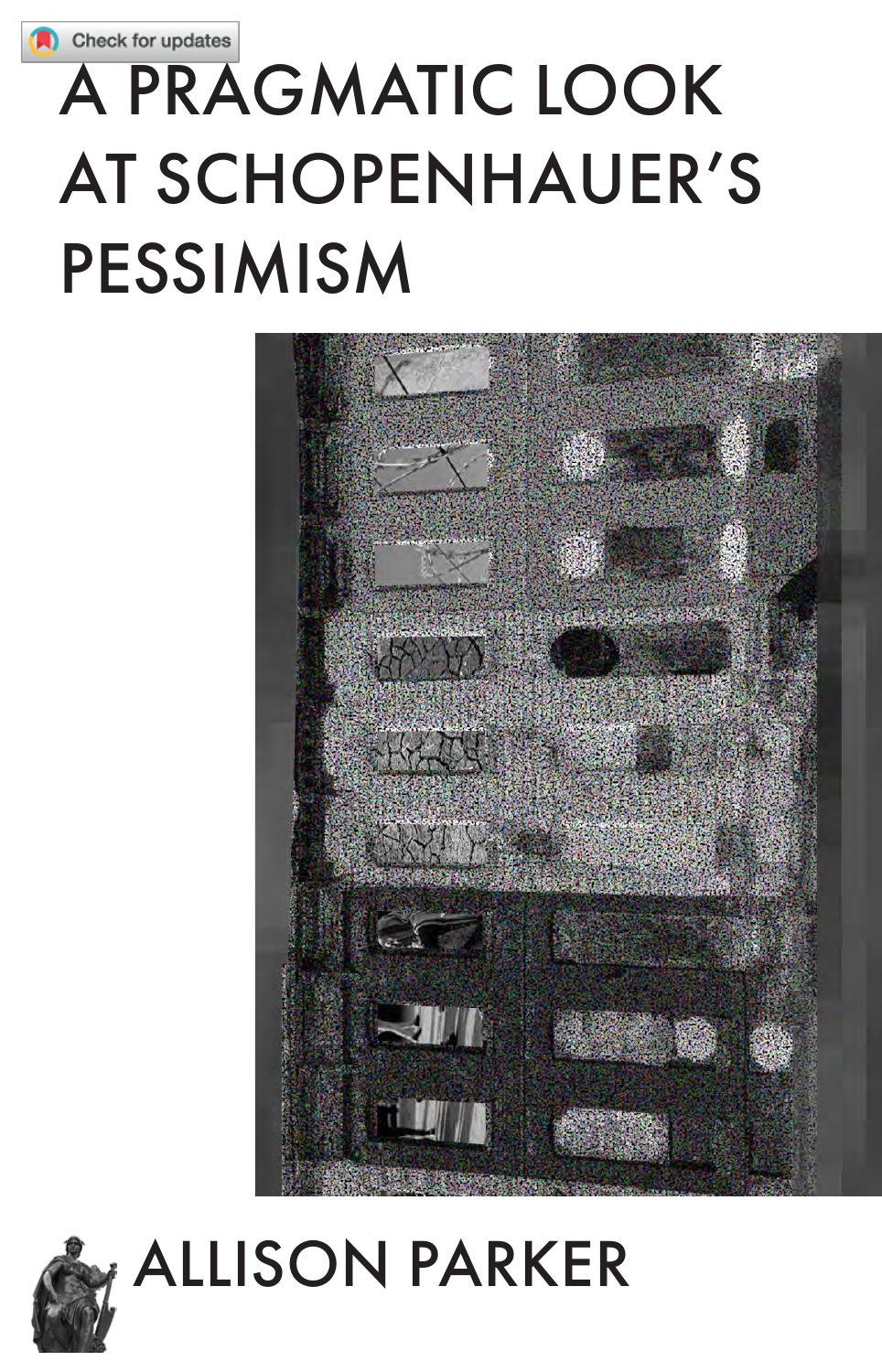# **A PRAGMATIC LOOK AT SCHOPENHAUER'S PESSIMISM**





## **ALLISON PARKER**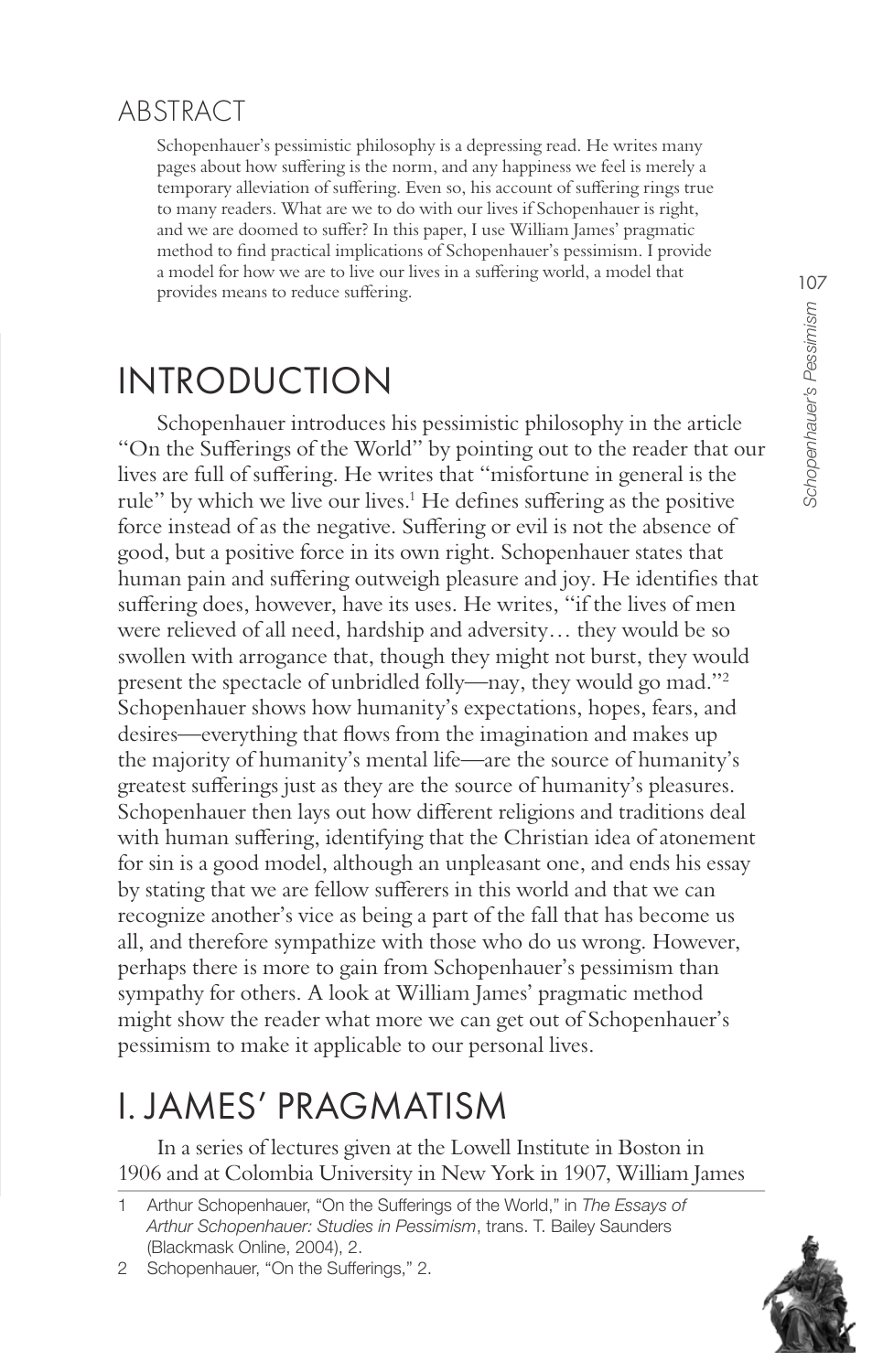#### ABSTRACT

Schopenhauer's pessimistic philosophy is a depressing read. He writes many pages about how suffering is the norm, and any happiness we feel is merely a temporary alleviation of suffering. Even so, his account of suffering rings true to many readers. What are we to do with our lives if Schopenhauer is right, and we are doomed to suffer? In this paper, I use William James' pragmatic method to find practical implications of Schopenhauer's pessimism. I provide a model for how we are to live our lives in a suffering world, a model that provides means to reduce suffering.

#### **INTRODUCTION**

Schopenhauer introduces his pessimistic philosophy in the article "On the Sufferings of the World" by pointing out to the reader that our lives are full of suffering. He writes that "misfortune in general is the rule" by which we live our lives.<sup>1</sup> He defines suffering as the positive force instead of as the negative. Suffering or evil is not the absence of good, but a positive force in its own right. Schopenhauer states that human pain and suffering outweigh pleasure and joy. He identifies that suffering does, however, have its uses. He writes, "if the lives of men were relieved of all need, hardship and adversity... they would be so swollen with arrogance that, though they might not burst, they would present the spectacle of unbridled folly—nay, they would go mad."<sup>2</sup> Schopenhauer shows how humanity's expectations, hopes, fears, and desires—everything that flows from the imagination and makes up the majority of humanity's mental life—are the source of humanity's greatest sufferings just as they are the source of humanity's pleasures. Schopenhauer then lays out how different religions and traditions deal with human suffering, identifying that the Christian idea of atonement for sin is a good model, although an unpleasant one, and ends his essay by stating that we are fellow sufferers in this world and that we can recognize another's vice as being a part of the fall that has become us all, and therefore sympathize with those who do us wrong. However, perhaps there is more to gain from Schopenhauer's pessimism than sympathy for others. A look at William James' pragmatic method might show the reader what more we can get out of Schopenhauer's pessimism to make it applicable to our personal lives.

#### **LIAMES' PRAGMATISM**

In a series of lectures given at the Lowell Institute in Boston in 1906 and at Colombia University in New York in 1907, William James



Arthur Schopenhauer, "On the Sufferings of the World," in The Essays of Arthur Schopenhauer: Studies in Pessimism, trans. T. Bailey Saunders (Blackmask Online, 2004), 2.

<sup>2</sup> Schopenhauer, "On the Sufferings," 2.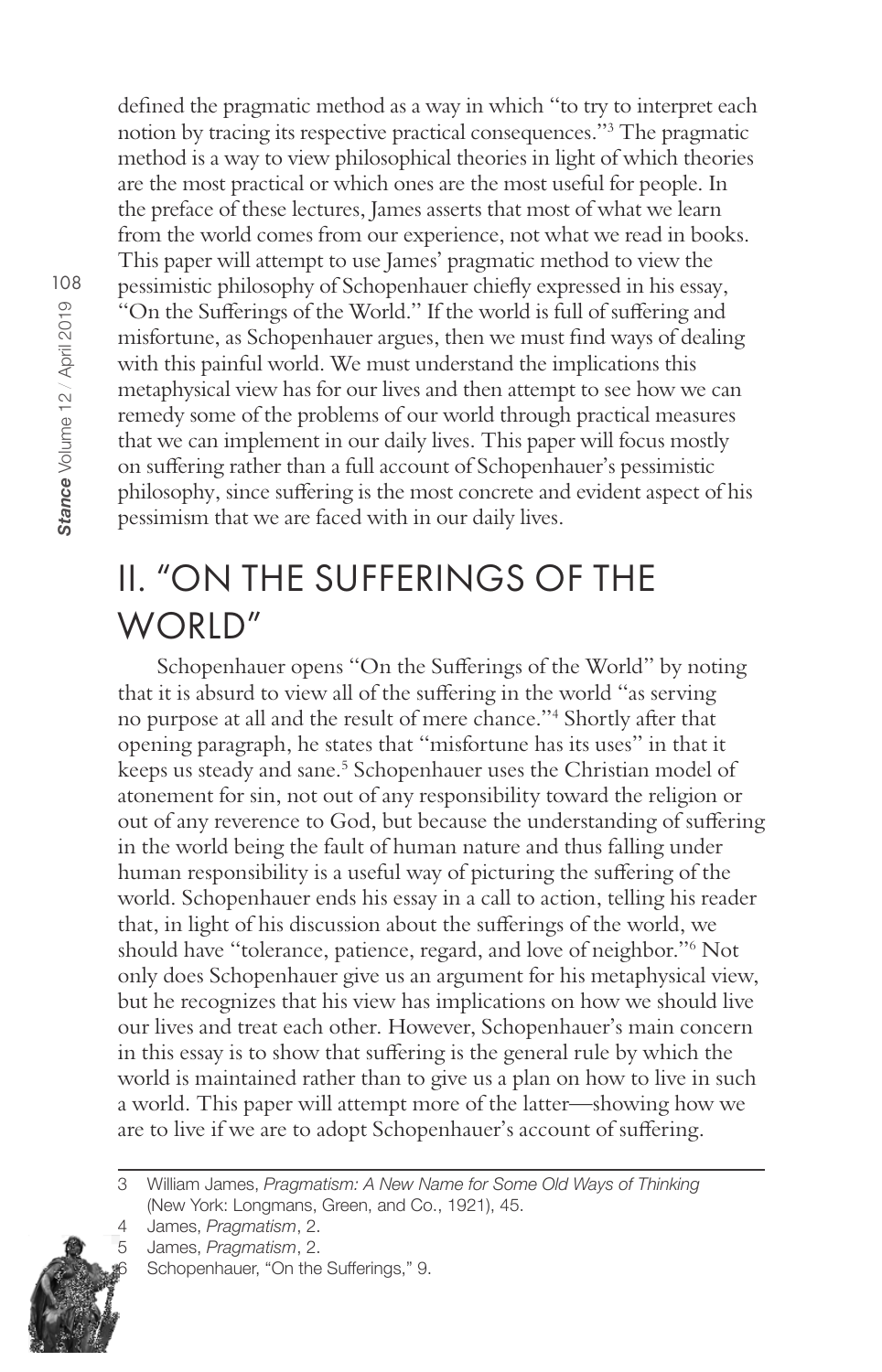defined the pragmatic method as a way in which "to try to interpret each notion by tracing its respective practical consequences."<sup>3</sup> The pragmatic method is a way to view philosophical theories in light of which theories are the most practical or which ones are the most useful for people. In the preface of these lectures, James asserts that most of what we learn from the world comes from our experience, not what we read in books. This paper will attempt to use James' pragmatic method to view the pessimistic philosophy of Schopenhauer chiefly expressed in his essay, "On the Sufferings of the World." If the world is full of suffering and misfortune, as Schopenhauer argues, then we must find ways of dealing with this painful world. We must understand the implications this metaphysical view has for our lives and then attempt to see how we can remedy some of the problems of our world through practical measures that we can implement in our daily lives. This paper will focus mostly on suffering rather than a full account of Schopenhauer's pessimistic philosophy, since suffering is the most concrete and evident aspect of his pessimism that we are faced with in our daily lives.

#### II. "ON THE SUFFERINGS OF THE WORLD"

Schopenhauer opens "On the Sufferings of the World" by noting that it is absurd to view all of the suffering in the world "as serving no purpose at all and the result of mere chance."<sup>4</sup> Shortly after that opening paragraph, he states that "misfortune has its uses" in that it keeps us steady and sane.<sup>5</sup> Schopenhauer uses the Christian model of atonement for sin, not out of any responsibility toward the religion or out of any reverence to God, but because the understanding of suffering in the world being the fault of human nature and thus falling under human responsibility is a useful way of picturing the suffering of the world. Schopenhauer ends his essay in a call to action, telling his reader that, in light of his discussion about the sufferings of the world, we should have "tolerance, patience, regard, and love of neighbor."6 Not only does Schopenhauer give us an argument for his metaphysical view, but he recognizes that his view has implications on how we should live our lives and treat each other. However, Schopenhauer's main concern in this essay is to show that suffering is the general rule by which the world is maintained rather than to give us a plan on how to live in such a world. This paper will attempt more of the latter—showing how we are to live if we are to adopt Schopenhauer's account of suffering.

<sup>5</sup> James, Pragmatism, 2.





William James, Pragmatism: A New Name for Some Old Ways of Thinking 3 (New York: Longmans, Green, and Co., 1921), 45.

 $\Delta$ James, Pragmatism, 2.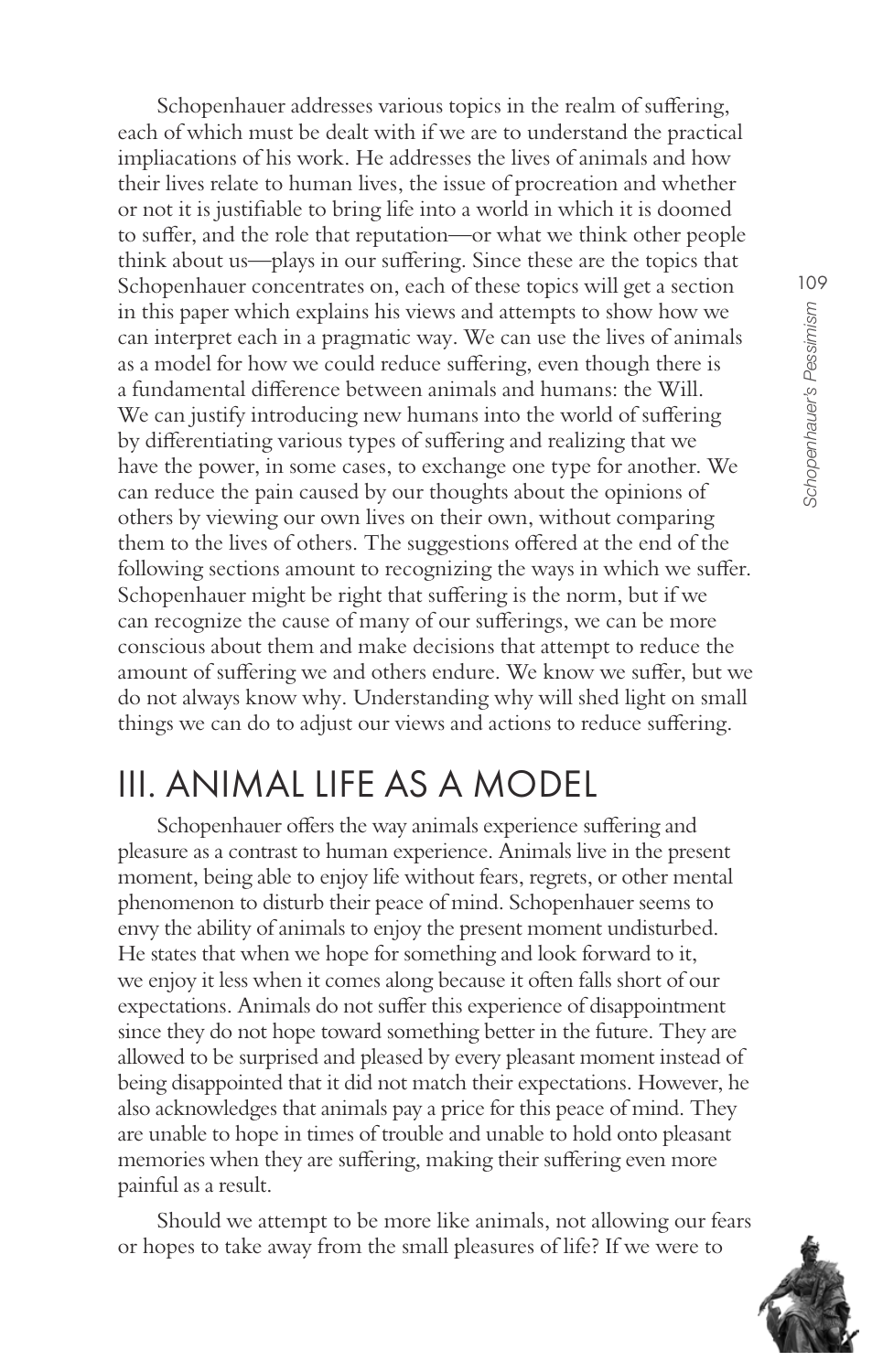Schopenhauer addresses various topics in the realm of suffering, each of which must be dealt with if we are to understand the practical impliacations of his work. He addresses the lives of animals and how their lives relate to human lives, the issue of procreation and whether or not it is justifiable to bring life into a world in which it is doomed to suffer, and the role that reputation-or what we think other people think about us—plays in our suffering. Since these are the topics that Schopenhauer concentrates on, each of these topics will get a section in this paper which explains his views and attempts to show how we can interpret each in a pragmatic way. We can use the lives of animals as a model for how we could reduce suffering, even though there is a fundamental difference between animals and humans: the Will. We can justify introducing new humans into the world of suffering by differentiating various types of suffering and realizing that we have the power, in some cases, to exchange one type for another. We can reduce the pain caused by our thoughts about the opinions of others by viewing our own lives on their own, without comparing them to the lives of others. The suggestions offered at the end of the following sections amount to recognizing the ways in which we suffer. Schopenhauer might be right that suffering is the norm, but if we can recognize the cause of many of our sufferings, we can be more conscious about them and make decisions that attempt to reduce the amount of suffering we and others endure. We know we suffer, but we do not always know why. Understanding why will shed light on small things we can do to adjust our views and actions to reduce suffering.

#### III. ANIMAL LIFE AS A MODEL

Schopenhauer offers the way animals experience suffering and pleasure as a contrast to human experience. Animals live in the present moment, being able to enjoy life without fears, regrets, or other mental phenomenon to disturb their peace of mind. Schopenhauer seems to envy the ability of animals to enjoy the present moment undisturbed. He states that when we hope for something and look forward to it, we enjoy it less when it comes along because it often falls short of our expectations. Animals do not suffer this experience of disappointment since they do not hope toward something better in the future. They are allowed to be surprised and pleased by every pleasant moment instead of being disappointed that it did not match their expectations. However, he also acknowledges that animals pay a price for this peace of mind. They are unable to hope in times of trouble and unable to hold onto pleasant memories when they are suffering, making their suffering even more painful as a result.

Should we attempt to be more like animals, not allowing our fears or hopes to take away from the small pleasures of life? If we were to

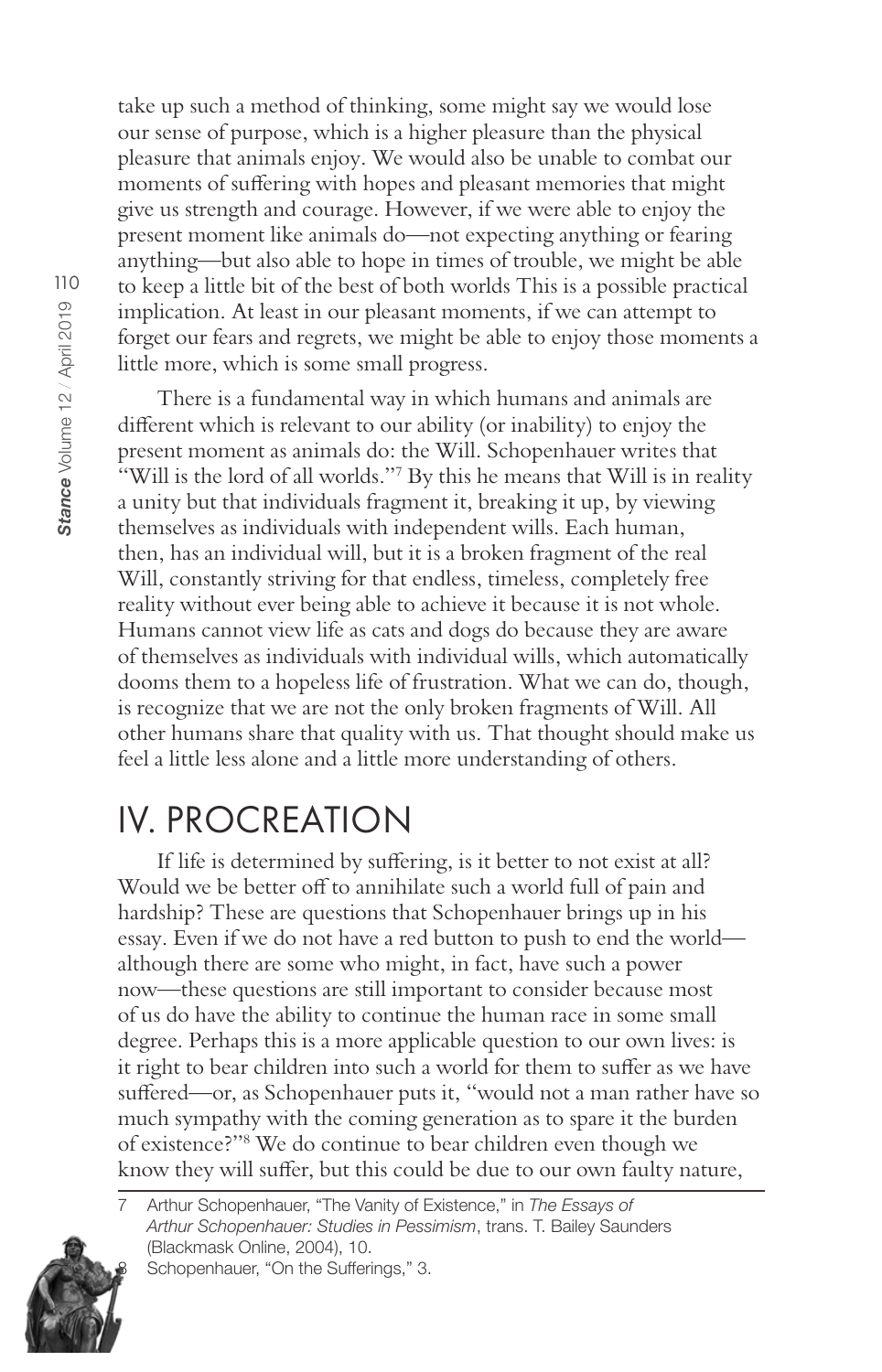take up such a method of thinking, some might say we would lose our sense of purpose, which is a higher pleasure than the physical pleasure that animals enjoy. We would also be unable to combat our moments of suffering with hopes and pleasant memories that might give us strength and courage. However, if we were able to enjoy the present moment like animals do-not expecting anything or fearing anything—but also able to hope in times of trouble, we might be able to keep a little bit of the best of both worlds This is a possible practical implication. At least in our pleasant moments, if we can attempt to forget our fears and regrets, we might be able to enjoy those moments a little more, which is some small progress.

There is a fundamental way in which humans and animals are different which is relevant to our ability (or inability) to enjoy the present moment as animals do: the Will. Schopenhauer writes that "Will is the lord of all worlds."7 By this he means that Will is in reality a unity but that individuals fragment it, breaking it up, by viewing themselves as individuals with independent wills. Each human, then, has an individual will, but it is a broken fragment of the real Will, constantly striving for that endless, timeless, completely free reality without ever being able to achieve it because it is not whole. Humans cannot view life as cats and dogs do because they are aware of themselves as individuals with individual wills, which automatically dooms them to a hopeless life of frustration. What we can do, though, is recognize that we are not the only broken fragments of Will. All other humans share that quality with us. That thought should make us feel a little less alone and a little more understanding of others.

#### **IV. PROCREATION**

If life is determined by suffering, is it better to not exist at all? Would we be better off to annihilate such a world full of pain and hardship? These are questions that Schopenhauer brings up in his essay. Even if we do not have a red button to push to end the world although there are some who might, in fact, have such a power now—these questions are still important to consider because most of us do have the ability to continue the human race in some small degree. Perhaps this is a more applicable question to our own lives: is it right to bear children into such a world for them to suffer as we have suffered-or, as Schopenhauer puts it, "would not a man rather have so much sympathy with the coming generation as to spare it the burden of existence?"<sup>8</sup> We do continue to bear children even though we know they will suffer, but this could be due to our own faulty nature,



Arthur Schopenhauer, "The Vanity of Existence," in The Essays of Arthur Schopenhauer: Studies in Pessimism, trans. T. Bailey Saunders (Blackmask Online, 2004), 10. Schopenhauer, "On the Sufferings," 3.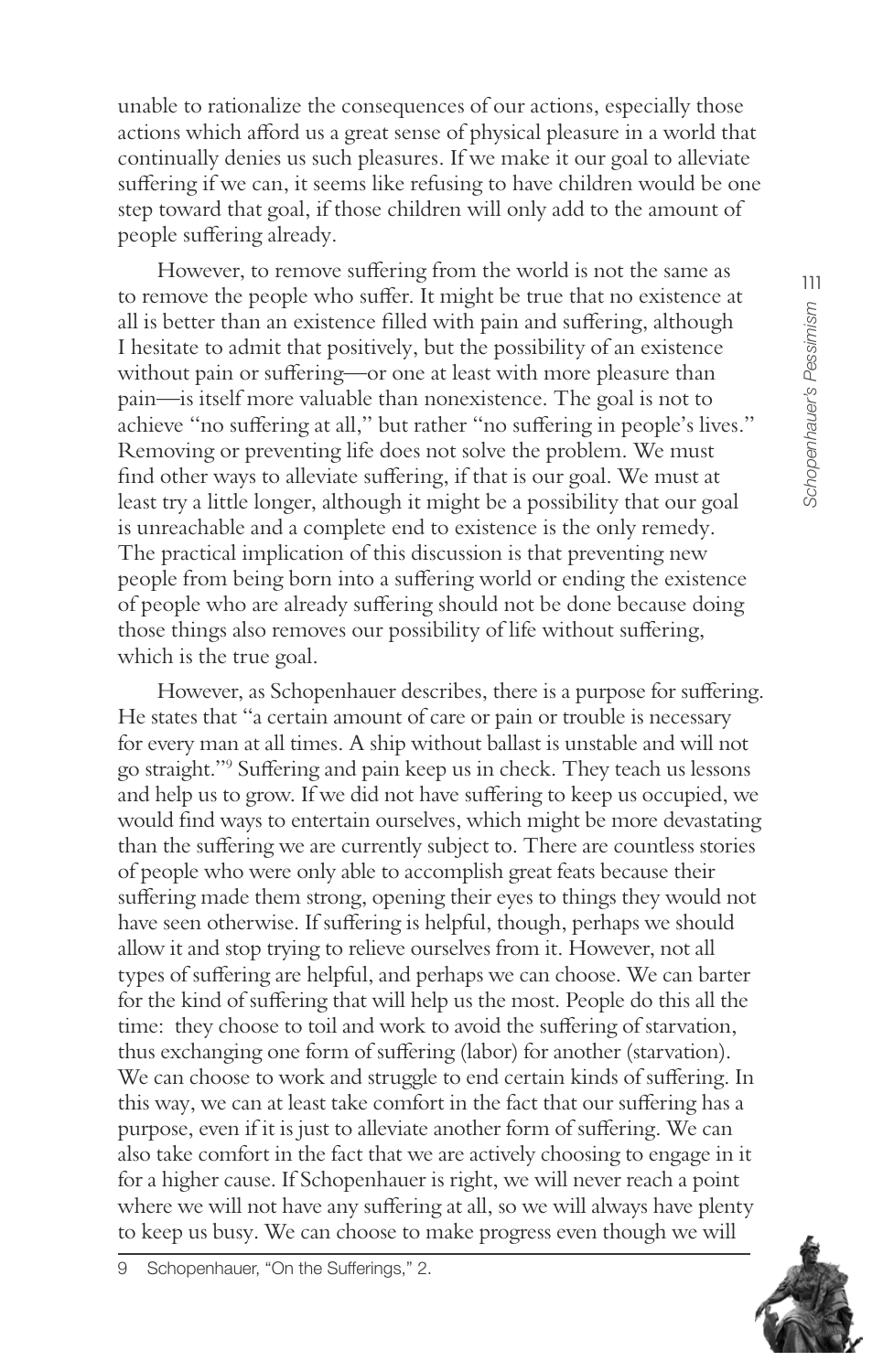unable to rationalize the consequences of our actions, especially those actions which afford us a great sense of physical pleasure in a world that continually denies us such pleasures. If we make it our goal to alleviate suffering if we can, it seems like refusing to have children would be one step toward that goal, if those children will only add to the amount of people suffering already.

However, to remove suffering from the world is not the same as to remove the people who suffer. It might be true that no existence at all is better than an existence filled with pain and suffering, although I hesitate to admit that positively, but the possibility of an existence without pain or suffering—or one at least with more pleasure than pain—is itself more valuable than nonexistence. The goal is not to achieve "no suffering at all," but rather "no suffering in people's lives." Removing or preventing life does not solve the problem. We must find other ways to alleviate suffering, if that is our goal. We must at least try a little longer, although it might be a possibility that our goal is unreachable and a complete end to existence is the only remedy. The practical implication of this discussion is that preventing new people from being born into a suffering world or ending the existence of people who are already suffering should not be done because doing those things also removes our possibility of life without suffering, which is the true goal.

However, as Schopenhauer describes, there is a purpose for suffering. He states that "a certain amount of care or pain or trouble is necessary for every man at all times. A ship without ballast is unstable and will not go straight."<sup>9</sup> Suffering and pain keep us in check. They teach us lessons and help us to grow. If we did not have suffering to keep us occupied, we would find ways to entertain ourselves, which might be more devastating than the suffering we are currently subject to. There are countless stories of people who were only able to accomplish great feats because their suffering made them strong, opening their eyes to things they would not have seen otherwise. If suffering is helpful, though, perhaps we should allow it and stop trying to relieve ourselves from it. However, not all types of suffering are helpful, and perhaps we can choose. We can barter for the kind of suffering that will help us the most. People do this all the time: they choose to toil and work to avoid the suffering of starvation, thus exchanging one form of suffering (labor) for another (starvation). We can choose to work and struggle to end certain kinds of suffering. In this way, we can at least take comfort in the fact that our suffering has a purpose, even if it is just to alleviate another form of suffering. We can also take comfort in the fact that we are actively choosing to engage in it for a higher cause. If Schopenhauer is right, we will never reach a point where we will not have any suffering at all, so we will always have plenty to keep us busy. We can choose to make progress even though we will

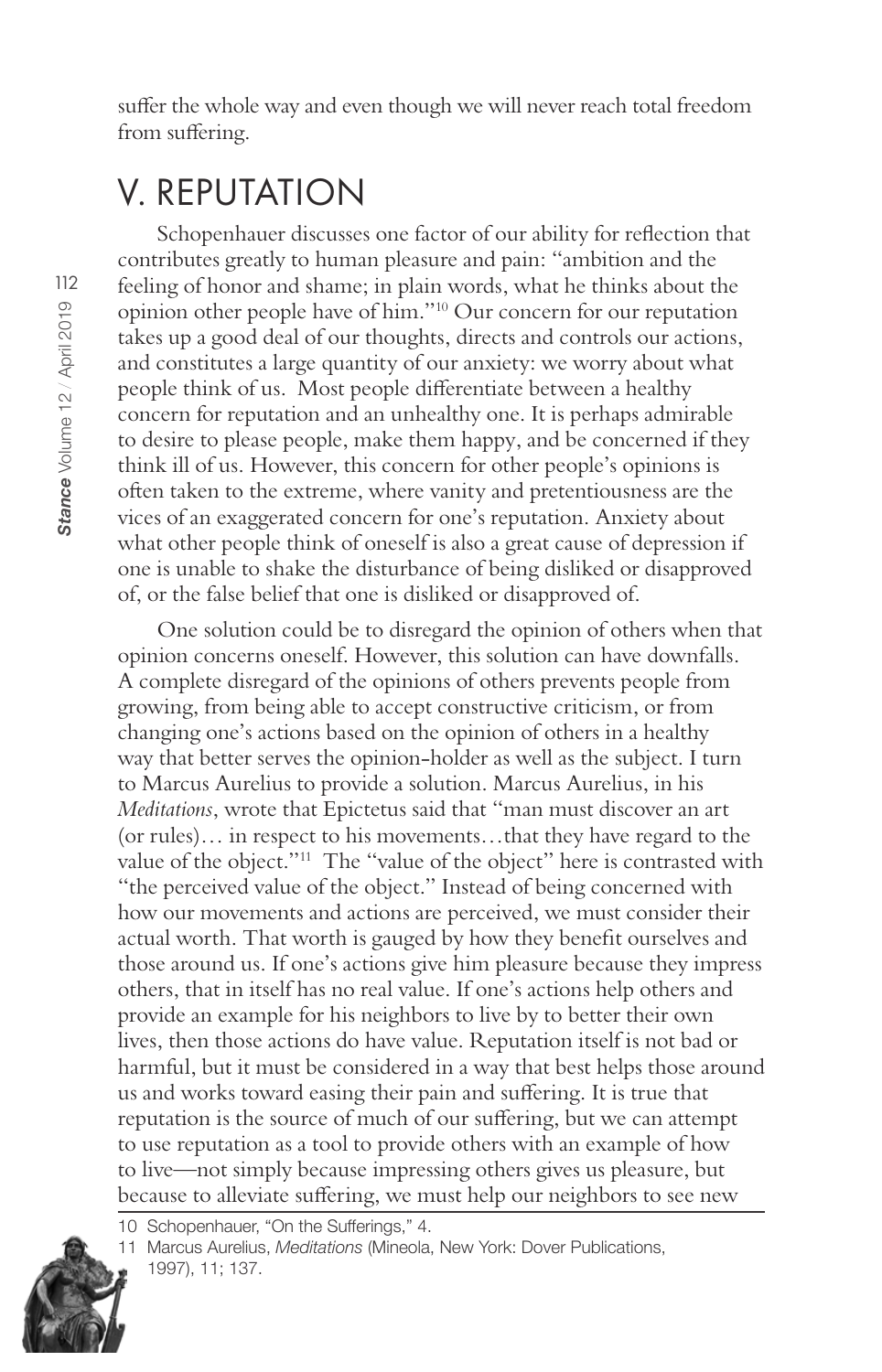suffer the whole way and even though we will never reach total freedom from suffering.

#### V. REPUTATION

Schopenhauer discusses one factor of our ability for reflection that contributes greatly to human pleasure and pain: "ambition and the feeling of honor and shame; in plain words, what he thinks about the opinion other people have of him."<sup>10</sup> Our concern for our reputation takes up a good deal of our thoughts, directs and controls our actions, and constitutes a large quantity of our anxiety: we worry about what people think of us. Most people differentiate between a healthy concern for reputation and an unhealthy one. It is perhaps admirable to desire to please people, make them happy, and be concerned if they think ill of us. However, this concern for other people's opinions is often taken to the extreme, where vanity and pretentiousness are the vices of an exaggerated concern for one's reputation. Anxiety about what other people think of oneself is also a great cause of depression if one is unable to shake the disturbance of being disliked or disapproved of, or the false belief that one is disliked or disapproved of.

One solution could be to disregard the opinion of others when that opinion concerns oneself. However, this solution can have downfalls. A complete disregard of the opinions of others prevents people from growing, from being able to accept constructive criticism, or from changing one's actions based on the opinion of others in a healthy way that better serves the opinion-holder as well as the subject. I turn to Marcus Aurelius to provide a solution. Marcus Aurelius, in his Meditations, wrote that Epictetus said that "man must discover an art (or rules)... in respect to his movements...that they have regard to the value of the object."<sup>11</sup> The "value of the object" here is contrasted with "the perceived value of the object." Instead of being concerned with how our movements and actions are perceived, we must consider their actual worth. That worth is gauged by how they benefit ourselves and those around us. If one's actions give him pleasure because they impress others, that in itself has no real value. If one's actions help others and provide an example for his neighbors to live by to better their own lives, then those actions do have value. Reputation itself is not bad or harmful, but it must be considered in a way that best helps those around us and works toward easing their pain and suffering. It is true that reputation is the source of much of our suffering, but we can attempt to use reputation as a tool to provide others with an example of how to live—not simply because impressing others gives us pleasure, but because to alleviate suffering, we must help our neighbors to see new

<sup>10</sup> Schopenhauer, "On the Sufferings," 4.



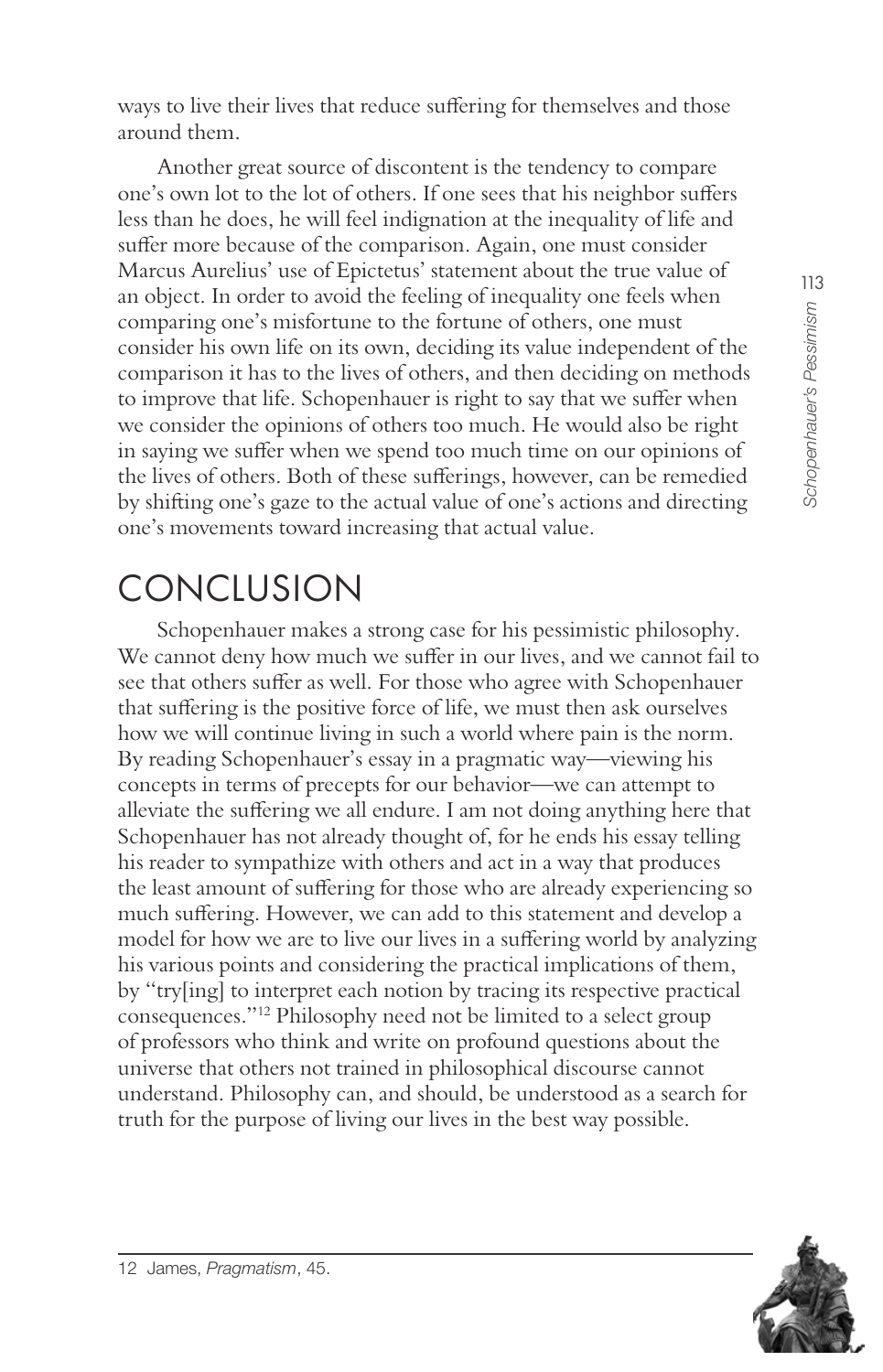ways to live their lives that reduce suffering for themselves and those around them.

Another great source of discontent is the tendency to compare one's own lot to the lot of others. If one sees that his neighbor suffers less than he does, he will feel indignation at the inequality of life and suffer more because of the comparison. Again, one must consider Marcus Aurelius' use of Epictetus' statement about the true value of an object. In order to avoid the feeling of inequality one feels when comparing one's misfortune to the fortune of others, one must consider his own life on its own, deciding its value independent of the comparison it has to the lives of others, and then deciding on methods to improve that life. Schopenhauer is right to say that we suffer when we consider the opinions of others too much. He would also be right in saying we suffer when we spend too much time on our opinions of the lives of others. Both of these sufferings, however, can be remedied by shifting one's gaze to the actual value of one's actions and directing one's movements toward increasing that actual value.

### CONCLUSION

Schopenhauer makes a strong case for his pessimistic philosophy. We cannot deny how much we suffer in our lives, and we cannot fail to see that others suffer as well. For those who agree with Schopenhauer that suffering is the positive force of life, we must then ask ourselves how we will continue living in such a world where pain is the norm. By reading Schopenhauer's essay in a pragmatic way—viewing his concepts in terms of precepts for our behavior—we can attempt to alleviate the suffering we all endure. I am not doing anything here that Schopenhauer has not already thought of, for he ends his essay telling his reader to sympathize with others and act in a way that produces the least amount of suffering for those who are already experiencing so much suffering. However, we can add to this statement and develop a model for how we are to live our lives in a suffering world by analyzing his various points and considering the practical implications of them, by "try[ing] to interpret each notion by tracing its respective practical consequences."<sup>12</sup> Philosophy need not be limited to a select group of professors who think and write on profound questions about the universe that others not trained in philosophical discourse cannot understand. Philosophy can, and should, be understood as a search for truth for the purpose of living our lives in the best way possible.

113